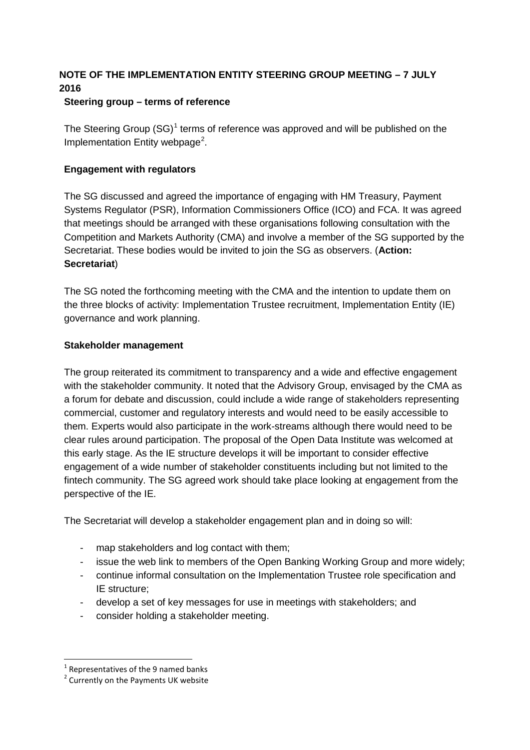# **NOTE OF THE IMPLEMENTATION ENTITY STEERING GROUP MEETING – 7 JULY 2016**

## **Steering group – terms of reference**

The Steering Group  $(SG)^1$  $(SG)^1$  terms of reference was approved and will be published on the Implementation Entity webpage<sup>[2](#page-0-1)</sup>.

# **Engagement with regulators**

The SG discussed and agreed the importance of engaging with HM Treasury, Payment Systems Regulator (PSR), Information Commissioners Office (ICO) and FCA. It was agreed that meetings should be arranged with these organisations following consultation with the Competition and Markets Authority (CMA) and involve a member of the SG supported by the Secretariat. These bodies would be invited to join the SG as observers. (**Action: Secretariat**)

The SG noted the forthcoming meeting with the CMA and the intention to update them on the three blocks of activity: Implementation Trustee recruitment, Implementation Entity (IE) governance and work planning.

## **Stakeholder management**

The group reiterated its commitment to transparency and a wide and effective engagement with the stakeholder community. It noted that the Advisory Group, envisaged by the CMA as a forum for debate and discussion, could include a wide range of stakeholders representing commercial, customer and regulatory interests and would need to be easily accessible to them. Experts would also participate in the work-streams although there would need to be clear rules around participation. The proposal of the Open Data Institute was welcomed at this early stage. As the IE structure develops it will be important to consider effective engagement of a wide number of stakeholder constituents including but not limited to the fintech community. The SG agreed work should take place looking at engagement from the perspective of the IE.

The Secretariat will develop a stakeholder engagement plan and in doing so will:

- map stakeholders and log contact with them;
- issue the web link to members of the Open Banking Working Group and more widely;
- continue informal consultation on the Implementation Trustee role specification and IE structure;
- develop a set of key messages for use in meetings with stakeholders; and
- consider holding a stakeholder meeting.

 $1$  Representatives of the 9 named banks

<span id="page-0-1"></span><span id="page-0-0"></span><sup>&</sup>lt;sup>2</sup> Currently on the Payments UK website